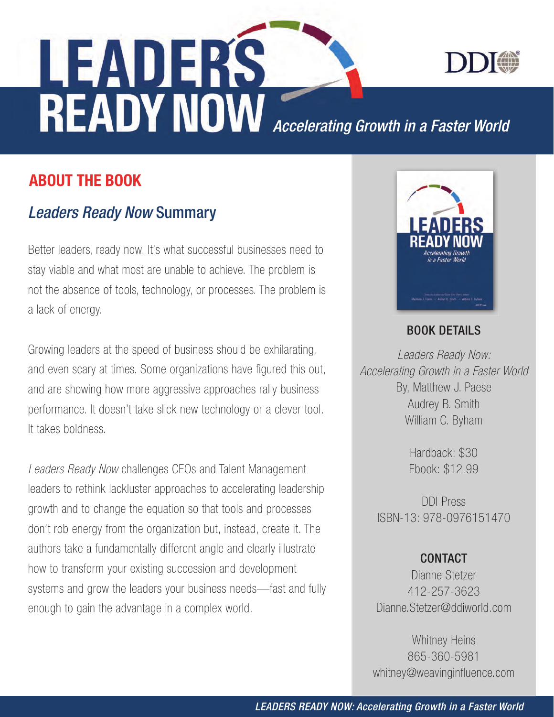

**ADEAS**<br>**READY NOW** Accelerating Growth in a Faster World

### ABOUT THE BOOK

# *Leaders Ready Now* Summary

Better leaders, ready now. It's what successful businesses need to stay viable and what most are unable to achieve. The problem is not the absence of tools, technology, or processes. The problem is a lack of energy.

Growing leaders at the speed of business should be exhilarating, and even scary at times. Some organizations have figured this out, and are showing how more aggressive approaches rally business performance. It doesn't take slick new technology or a clever tool. It takes boldness.

*Leaders Ready Now* challenges CEOs and Talent Management leaders to rethink lackluster approaches to accelerating leadership growth and to change the equation so that tools and processes don't rob energy from the organization but, instead, create it. The authors take a fundamentally different angle and clearly illustrate how to transform your existing succession and development systems and grow the leaders your business needs—fast and fully enough to gain the advantage in a complex world.



### BOOK DETAILS

*Leaders Ready Now: Accelerating Growth in a Faster World* By, Matthew J. Paese Audrey B. Smith William C. Byham

> Hardback: \$30 Ebook: \$12.99

DDI Press ISBN-13: 978-0976151470

### **CONTACT**

Dianne Stetzer 412-257-3623 Dianne.Stetzer@ddiworld.com

Whitney Heins 865-360-5981 whitney@weavinginfluence.com

*LEADERS READY NOW: Accelerating Growth in a Faster World*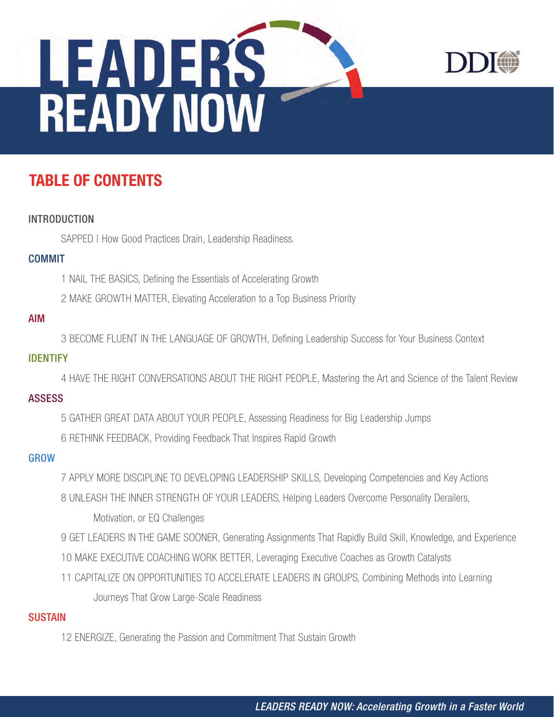



# TABLE OF CONTENTS

#### INTRODUCTION

SAPPED | How Good Practices Drain, Leadership Readiness.

#### COMMIT

1 NAIL THE BASICS, Defining the Essentials of Accelerating Growth

2 MAKE GROWTH MATTER, Elevating Acceleration to a Top Business Priority

#### AIM

3 BECOME FLUENT IN THE LANGUAGE OF GROWTH, Defining Leadership Success for Your Business Context

#### IDENTIFY

4 HAVE THE RIGHT CONVERSATIONS ABOUT THE RIGHT PEOPLE, Mastering the Art and Science of the Talent Review

#### ASSESS

- 5 GATHER GREAT DATA ABOUT YOUR PEOPLE, Assessing Readiness for Big Leadership Jumps
- 6 RETHINK FEEDBACK, Providing Feedback That Inspires Rapid Growth

#### **GROW**

- 7 APPLY MORE DISCIPLINE TO DEVELOPING LEADERSHIP SKILLS, Developing Competencies and Key Actions
- 8 UNLEASH THE INNER STRENGTH OF YOUR LEADERS, Helping Leaders Overcome Personality Derailers, Motivation, or EQ Challenges
- 9 GET LEADERS IN THE GAME SOONER, Generating Assignments That Rapidly Build Skill, Knowledge, and Experience
- 10 MAKE EXECUTIVE COACHING WORK BETTER, Leveraging Executive Coaches as Growth Catalysts
- 11 CAPITALIZE ON OPPORTUNITIES TO ACCELERATE LEADERS IN GROUPS, Combining Methods into Learning Journeys That Grow Large-Scale Readiness

#### **SUSTAIN**

12 ENERGIZE, Generating the Passion and Commitment That Sustain Growth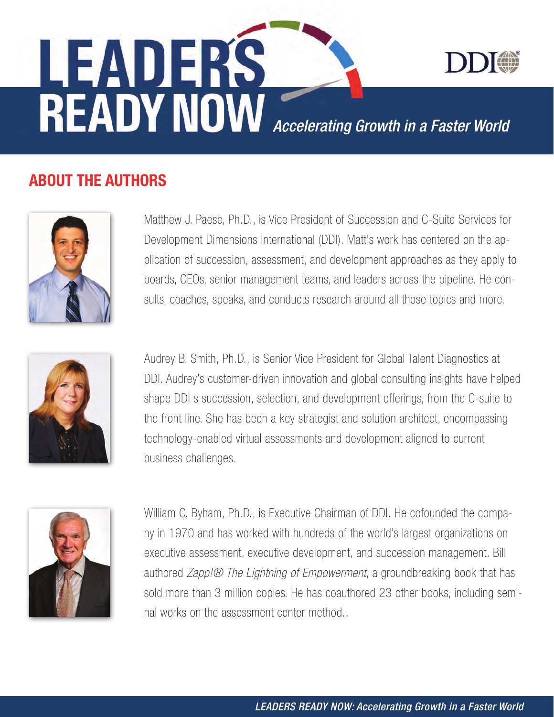

**READY NOW** Accelerating Growth in a Faster World

# ABOUT THE AUTHORS

LEADERS



Matthew J. Paese, Ph.D., is Vice President of Succession and C-Suite Services for Development Dimensions International (DDI). Matt's work has centered on the application of succession, assessment, and development approaches as they apply to boards, CEOs, senior management teams, and leaders across the pipeline. He consults, coaches, speaks, and conducts research around all those topics and more.



Audrey B. Smith, Ph.D., is Senior Vice President for Global Talent Diagnostics at DDI. Audrey's customer-driven innovation and global consulting insights have helped shape DDI s succession, selection, and development offerings, from the C-suite to the front line. She has been a key strategist and solution architect, encompassing technology-enabled virtual assessments and development aligned to current business challenges.



William C. Byham, Ph.D., is Executive Chairman of DDI. He cofounded the company in 1970 and has worked with hundreds of the world's largest organizations on executive assessment, executive development, and succession management. Bill authored *Zapp!® The Lightning of Empowerment*, a groundbreaking book that has sold more than 3 million copies. He has coauthored 23 other books, including seminal works on the assessment center method..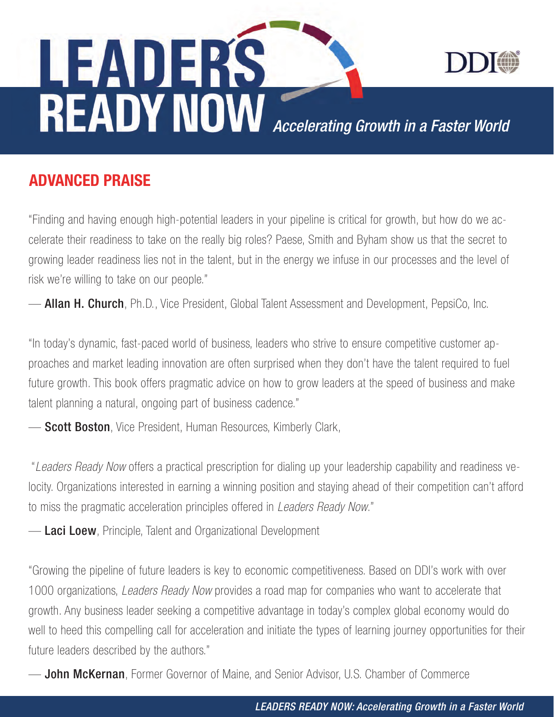

**READY NOW** Accelerating Growth in a Faster World

## ADVANCED PRAISE

LEADERS

"Finding and having enough high-potential leaders in your pipeline is critical for growth, but how do we accelerate their readiness to take on the really big roles? Paese, Smith and Byham show us that the secret to growing leader readiness lies not in the talent, but in the energy we infuse in our processes and the level of risk we're willing to take on our people."

— Allan H. Church, Ph.D., Vice President, Global Talent Assessment and Development, PepsiCo, Inc.

"In today's dynamic, fast-paced world of business, leaders who strive to ensure competitive customer approaches and market leading innovation are often surprised when they don't have the talent required to fuel future growth. This book offers pragmatic advice on how to grow leaders at the speed of business and make talent planning a natural, ongoing part of business cadence."

**- Scott Boston**, Vice President, Human Resources, Kimberly Clark,

 "*Leaders Ready Now* offers a practical prescription for dialing up your leadership capability and readiness velocity. Organizations interested in earning a winning position and staying ahead of their competition can't afford to miss the pragmatic acceleration principles offered in *Leaders Ready Now*."

- Laci Loew, Principle, Talent and Organizational Development

"Growing the pipeline of future leaders is key to economic competitiveness. Based on DDI's work with over 1000 organizations, *Leaders Ready Now* provides a road map for companies who want to accelerate that growth. Any business leader seeking a competitive advantage in today's complex global economy would do well to heed this compelling call for acceleration and initiate the types of learning journey opportunities for their future leaders described by the authors."

**— John McKernan**, Former Governor of Maine, and Senior Advisor, U.S. Chamber of Commerce